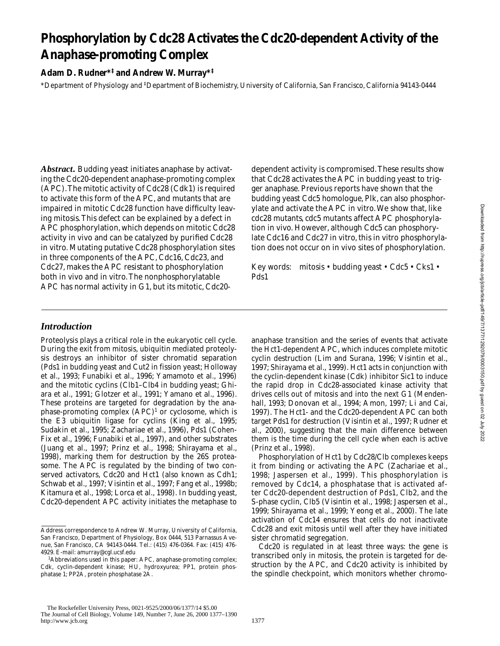# **Phosphorylation by Cdc28 Activates the Cdc20-dependent Activity of the Anaphase-promoting Complex**

## **Adam D. Rudner\*‡ and Andrew W. Murray\*‡**

\*Department of Physiology and ‡ Department of Biochemistry, University of California, San Francisco, California 94143-0444

*Abstract.* Budding yeast initiates anaphase by activating the Cdc20-dependent anaphase-promoting complex (APC). The mitotic activity of Cdc28 (Cdk1) is required to activate this form of the APC, and mutants that are impaired in mitotic Cdc28 function have difficulty leaving mitosis. This defect can be explained by a defect in APC phosphorylation, which depends on mitotic Cdc28 activity in vivo and can be catalyzed by purified Cdc28 in vitro. Mutating putative Cdc28 phosphorylation sites in three components of the APC, Cdc16, Cdc23, and Cdc27, makes the APC resistant to phosphorylation both in vivo and in vitro. The nonphosphorylatable APC has normal activity in G1, but its mitotic, Cdc20dependent activity is compromised. These results show that Cdc28 activates the APC in budding yeast to trigger anaphase. Previous reports have shown that the budding yeast Cdc5 homologue, Plk, can also phosphorylate and activate the APC in vitro. We show that, like *cdc28* mutants, *cdc5* mutants affect APC phosphorylation in vivo. However, although Cdc5 can phosphorylate Cdc16 and Cdc27 in vitro, this in vitro phosphorylation does not occur on in vivo sites of phosphorylation.

Key words: mitosis • budding yeast • Cdc5 • Cks1 • Pds1

## *Introduction*

Proteolysis plays a critical role in the eukaryotic cell cycle. During the exit from mitosis, ubiquitin mediated proteolysis destroys an inhibitor of sister chromatid separation (Pds1 in budding yeast and Cut2 in fission yeast; Holloway et al., 1993; Funabiki et al., 1996; Yamamoto et al., 1996) and the mitotic cyclins (Clb1–Clb4 in budding yeast; Ghiara et al., 1991; Glotzer et al., 1991; Yamano et al., 1996). These proteins are targeted for degradation by the anaphase-promoting complex  $(APC)^1$  or cyclosome, which is the E3 ubiquitin ligase for cyclins (King et al., 1995; Sudakin et al., 1995; Zachariae et al., 1996), Pds1 (Cohen-Fix et al., 1996; Funabiki et al., 1997), and other substrates (Juang et al., 1997; Prinz et al., 1998; Shirayama et al., 1998), marking them for destruction by the 26S proteasome. The APC is regulated by the binding of two conserved activators, Cdc20 and Hct1 (also known as Cdh1; Schwab et al., 1997; Visintin et al., 1997; Fang et al., 1998b; Kitamura et al., 1998; Lorca et al., 1998). In budding yeast, Cdc20-dependent APC activity initiates the metaphase to anaphase transition and the series of events that activate the Hct1-dependent APC, which induces complete mitotic cyclin destruction (Lim and Surana, 1996; Visintin et al., 1997; Shirayama et al., 1999). Hct1 acts in conjunction with the cyclin-dependent kinase (Cdk) inhibitor Sic1 to induce the rapid drop in Cdc28-associated kinase activity that drives cells out of mitosis and into the next G1 (Mendenhall, 1993; Donovan et al., 1994; Amon, 1997; Li and Cai, 1997). The Hct1- and the Cdc20-dependent APC can both target Pds1 for destruction (Visintin et al., 1997; Rudner et al., 2000), suggesting that the main difference between them is the time during the cell cycle when each is active (Prinz et al., 1998).

Phosphorylation of Hct1 by Cdc28/Clb complexes keeps it from binding or activating the APC (Zachariae et al., 1998; Jaspersen et al., 1999). This phosphorylation is removed by Cdc14, a phosphatase that is activated after Cdc20-dependent destruction of Pds1, Clb2, and the S-phase cyclin, Clb5 (Visintin et al., 1998; Jaspersen et al., 1999; Shirayama et al., 1999; Yeong et al., 2000). The late activation of Cdc14 ensures that cells do not inactivate Cdc28 and exit mitosis until well after they have initiated sister chromatid segregation.

Cdc20 is regulated in at least three ways: the gene is transcribed only in mitosis, the protein is targeted for destruction by the APC, and Cdc20 activity is inhibited by the spindle checkpoint, which monitors whether chromo-

Address correspondence to Andrew W. Murray, University of California, San Francisco, Department of Physiology, Box 0444, 513 Parnassus Avenue, San Francisco, CA 94143-0444. Tel.: (415) 476-0364. Fax: (415) 476- 4929. E-mail: amurray@cgl.ucsf.edu

<sup>1</sup> *Abbreviations used in this paper:* APC, anaphase-promoting complex; Cdk, cyclin-dependent kinase; HU, hydroxyurea; PP1, protein phosphatase 1; PP2A, protein phosphatase 2A.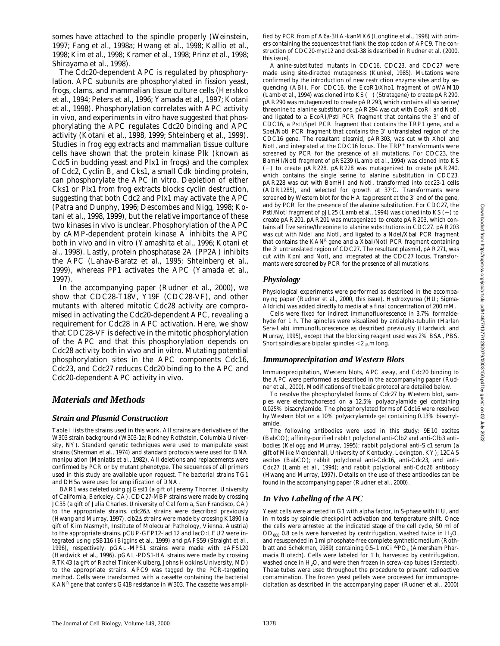somes have attached to the spindle properly (Weinstein, 1997; Fang et al., 1998a; Hwang et al., 1998; Kallio et al., 1998; Kim et al., 1998; Kramer et al., 1998; Prinz et al., 1998; Shirayama et al., 1998).

The Cdc20-dependent APC is regulated by phosphorylation. APC subunits are phosphorylated in fission yeast, frogs, clams, and mammalian tissue culture cells (Hershko et al., 1994; Peters et al., 1996; Yamada et al., 1997; Kotani et al., 1998). Phosphorylation correlates with APC activity in vivo, and experiments in vitro have suggested that phosphorylating the APC regulates Cdc20 binding and APC activity (Kotani et al., 1998, 1999; Shteinberg et al., 1999). Studies in frog egg extracts and mammalian tissue culture cells have shown that the protein kinase Plk (known as Cdc5 in budding yeast and Plx1 in frogs) and the complex of Cdc2, Cyclin B, and Cks1, a small Cdk binding protein, can phosphorylate the APC in vitro. Depletion of either Cks1 or Plx1 from frog extracts blocks cyclin destruction, suggesting that both Cdc2 and Plx1 may activate the APC (Patra and Dunphy, 1996; Descombes and Nigg, 1998; Kotani et al., 1998, 1999), but the relative importance of these two kinases in vivo is unclear. Phosphorylation of the APC by cAMP-dependent protein kinase A inhibits the APC both in vivo and in vitro (Yamashita et al., 1996; Kotani et al., 1998). Lastly, protein phosphatase 2A (PP2A) inhibits the APC (Lahav-Baratz et al., 1995; Shteinberg et al., 1999), whereas PP1 activates the APC (Yamada et al., 1997).

In the accompanying paper (Rudner et al., 2000), we show that *CDC28-T18V*, *Y19F* (*CDC28-VF)*, and other mutants with altered mitotic Cdc28 activity are compromised in activating the Cdc20-dependent APC, revealing a requirement for Cdc28 in APC activation. Here, we show that *CDC28-VF* is defective in the mitotic phosphorylation of the APC and that this phosphorylation depends on Cdc28 activity both in vivo and in vitro. Mutating potential phosphorylation sites in the APC components Cdc16, Cdc23, and Cdc27 reduces Cdc20 binding to the APC and Cdc20-dependent APC activity in vivo.

## *Materials and Methods*

#### *Strain and Plasmid Construction*

Table I lists the strains used in this work. All strains are derivatives of the W303 strain background (W303-1a; Rodney Rothstein, Columbia University, NY). Standard genetic techniques were used to manipulate yeast strains (Sherman et al., 1974) and standard protocols were used for DNA manipulation (Maniatis et al., 1982). All deletions and replacements were confirmed by PCR or by mutant phenotype. The sequences of all primers used in this study are available upon request. The bacterial strains TG1 and  $DH5\alpha$  were used for amplification of DNA.

*BAR1* was deleted using pJGsst1 (a gift of Jeremy Thorner, University of California, Berkeley, CA). *CDC27-MBP* strains were made by crossing JC35 (a gift of Julia Charles, University of California, San Francisco, CA) to the appropriate strains. *cdc26*<sup> $\Delta$ </sup> strains were described previously (Hwang and Murray, 1997). *clb2*D strains were made by crossing K1890 (a gift of Kim Nasmyth, Institute of Molecular Pathology, Vienna, Austria) to the appropriate strains. *pCUP-GFP12-lacI12* and *lacO:LEU2* were integrated using pSB116 (Biggins et al., 1999) and pAFS59 (Straight et al., 1996), respectively. *pGAL-MPS1* strains were made with pAFS120 (Hardwick et al., 1996). *pGAL-PDS1-HA* strains were made by crossing RTK43 (a gift of Rachel Tinker-Kulberg, Johns Hopkins University, MD) to the appropriate strains. *APC9* was tagged by the PCR-targeting method. Cells were transformed with a cassette containing the bacterial *KANR* gene that confers G418 resistance in W303. The cassette was amplified by PCR from pFA6a-3HA-kanMX6 (Longtine et al., 1998) with primers containing the sequences that flank the stop codon of *APC9*. The construction of *CDC20-myc12* and *cks1-38* is described in Rudner et al. (2000, this issue).

Alanine-substituted mutants in *CDC16*, *CDC23*, and *CDC27* were made using site-directed mutagenesis (Kunkel, 1985). Mutations were confirmed by the introduction of new restriction enzyme sites and by sequencing (ABI). For *CDC16*, the EcoR1/Xho1 fragment of pWAM10 (Lamb et al., 1994) was cloned into KS (2) (Stratagene) to create pAR290. pAR290 was mutagenized to create pAR293, which contains all six serine/ threonine to alanine substitutions. pAR294 was cut with EcoRI and NotI, and ligated to a EcoRI/PstI PCR fragment that contains the 3' end of *CDC16*, a PstI/SpeI PCR fragment that contains the *TRP1* gene, and a SpeI/NotI PCR fragment that contains the 3' untranslated region of the *CDC16* gene. The resultant plasmid, pAR303, was cut with XhoI and NotI, and integrated at the *CDC16* locus. The *TRP*<sup>+</sup> transformants were screened by PCR for the presence of all mutations. For *CDC23*, the BamHI/NotI fragment of pRS239 (Lamb et al., 1994) was cloned into KS (2) to create pAR228. pAR228 was mutagenized to create pAR240, which contains the single serine to alanine substitution in *CDC23*. pAR228 was cut with BamHI and NotI, transformed into *cdc23-1* cells  $(ADR1285)$ , and selected for growth at 37 $^{\circ}$ C. Transformants were screened by Western blot for the HA tag present at the 3' end of the gene, and by PCR for the presence of the alanine substitution. For *CDC27*, the PstI/NotI fragment of pJL25 (Lamb et al., 1994) was cloned into  $KS$  (-) to create pAR201. pAR201 was mutagenized to create pAR203, which contains all five serine/threonine to alanine substitutions in *CDC27*. pAR203 was cut with NdeI and NotI, and ligated to a NdeI/XbaI PCR fragment that contains the *KANR* gene and a XbaI/NotI PCR fragment containing the 3' untranslated region of *CDC27*. The resultant plasmid, pAR271, was cut with KpnI and NotI, and integrated at the *CDC27* locus. Transformants were screened by PCR for the presence of all mutations.

#### *Physiology*

Physiological experiments were performed as described in the accompanying paper (Rudner et al., 2000, this issue). Hydroxyurea (HU; Sigma-Aldrich) was added directly to media at a final concentration of 200 mM.

Cells were fixed for indirect immunofluorescence in 3.7% formaldehyde for 1 h. The spindles were visualized by antialpha-tubulin (Harlan Sera-Lab) immunofluorescence as described previously (Hardwick and Murray, 1995), except that the blocking reagent used was 2% BSA, PBS. Short spindles are bipolar spindles  $<$ 2  $\mu$ m long.

#### *Immunoprecipitation and Western Blots*

Immunoprecipitation, Western blots, APC assay, and Cdc20 binding to the APC were performed as described in the accompanying paper (Rudner et al., 2000). Modifications of the basic protocol are detailed below.

To resolve the phosphorylated forms of Cdc27 by Western blot, samples were electrophoresed on a 12.5% polyacrylamide gel containing 0.025% bisacrylamide. The phosphorylated forms of Cdc16 were resolved by Western blot on a 10% polyacrylamide gel containing 0.13% bisacrylamide.

The following antibodies were used in this study: 9E10 ascites (BabCO); affinity-purified rabbit polyclonal anti-Clb2 and anti-Clb3 antibodies (Kellogg and Murray, 1995); rabbit polyclonal anti-Sic1 serum (a gift of Mike Mendenhall, University of Kentucky, Lexington, KY); 12CA5 ascites (BabCO); rabbit polyclonal anti-Cdc16, anti-Cdc23, and anti-Cdc27 (Lamb et al., 1994); and rabbit polyclonal anti-Cdc26 antibody (Hwang and Murray, 1997). Details on the use of these antibodies can be found in the accompanying paper (Rudner et al., 2000).

### *In Vivo Labeling of the APC*

Yeast cells were arrested in G1 with alpha factor, in S-phase with HU, and in mitosis by spindle checkpoint activation and temperature shift. Once the cells were arrested at the indicated stage of the cell cycle, 50 ml of  $OD_{600}$  0.8 cells were harvested by centrifugation, washed twice in  $H_2O$ , and resuspended in 1 ml phosphate-free complete synthetic medium (Rothblatt and Schekman, 1989) containing 0.5-1 mCi <sup>32</sup>PO<sub>4</sub> (Amersham Pharmacia Biotech). Cells were labeled for 1 h, harvested by centrifugation, washed once in H<sub>2</sub>O, and were then frozen in screw-cap tubes (Sarstedt). These tubes were used throughout the procedure to prevent radioactive contamination. The frozen yeast pellets were processed for immunoprecipitation as described in the accompanying paper (Rudner et al., 2000)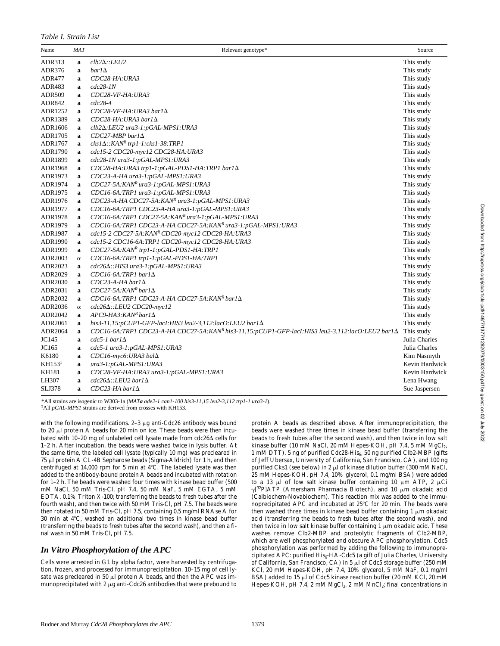#### *Table I. Strain List*

| Name               | <b>MAT</b>  | Relevant genotype*                                                                               | Source         |
|--------------------|-------------|--------------------------------------------------------------------------------------------------|----------------|
| ADR313             | a           | $clb2\Delta$ ::LEU2                                                                              | This study     |
| ADR376             | $\mathbf a$ | $bar1\Delta$                                                                                     | This study     |
| <b>ADR477</b>      | a           | CDC28-HA: URA3                                                                                   | This study     |
| ADR483             | a           | $cdc28-1N$                                                                                       | This study     |
| <b>ADR509</b>      | a           | CDC28-VF-HA: URA3                                                                                | This study     |
| ADR842             | $\mathbf a$ | $cdc28-4$                                                                                        | This study     |
| ADR1252            | $\mathbf a$ | $CDC28-VF-HA:URA3 bar1\Delta$                                                                    | This study     |
| ADR1389            | a           | $CDC28-HA: URA3$ bar1 $\Delta$                                                                   | This study     |
| ADR1606            | a           | clb2 $\Delta$ :LEU2 ura3-1:pGAL-MPS1:URA3                                                        | This study     |
| ADR1705            | a           | $CDC27-MBP$ barl $\Delta$                                                                        | This study     |
| ADR1767            | $\mathbf a$ | $cks1\Delta::KANR$ trp1-1: $cks1-38:TRP1$                                                        | This study     |
| ADR1790            | $\mathbf a$ | cdc15-2 CDC20-myc12 CDC28-HA:URA3                                                                | This study     |
| ADR1899            | a           | cdc28-1N ura3-1:pGAL-MPS1:URA3                                                                   | This study     |
| <b>ADR1968</b>     | $\mathbf a$ | CDC28-HA:URA3 trp1-1:pGAL-PDS1-HA:TRP1 bar1 $\Delta$                                             | This study     |
| ADR1973            | $\mathbf a$ | CDC23-A-HA ura3-1:pGAL-MPS1:URA3                                                                 | This study     |
| ADR1974            | a           | CDC27-5A:KANR ura3-1:pGAL-MPS1:URA3                                                              | This study     |
| ADR1975            | $\mathbf a$ | CDC16-6A:TRP1 ura3-1:pGAL-MPS1:URA3                                                              | This study     |
| ADR1976            | $\mathbf a$ | CDC23-A-HA CDC27-5A:KANR ura3-1:pGAL-MPS1:URA3                                                   | This study     |
| ADR1977            | $\mathbf a$ | CDC16-6A:TRP1 CDC23-A-HA ura3-1:pGAL-MPS1:URA3                                                   | This study     |
| ADR1978            | a           | CDC16-6A:TRP1 CDC27-5A:KANR ura3-1:pGAL-MPS1:URA3                                                | This study     |
| ADR1979            | a           | CDC16-6A:TRP1 CDC23-A-HA CDC27-5A:KANR ura3-1:pGAL-MPS1:URA3                                     | This study     |
| ADR1987            | $\mathbf a$ | cdc15-2 CDC27-5A:KANR CDC20-myc12 CDC28-HA:URA3                                                  | This study     |
| ADR1990            | $\mathbf a$ | cdc15-2 CDC16-6A:TRP1 CDC20-myc12 CDC28-HA:URA3                                                  | This study     |
| ADR1999            | a           | CDC27-5A:KANR trp1-1:pGAL-PDS1-HA:TRP1                                                           | This study     |
| ADR2003            | $\alpha$    | CDC16-6A:TRP1 trp1-1:pGAL-PDS1-HA:TRP1                                                           | This study     |
| ADR2023            | a           | cdc26 $\Delta$ ::HIS3 ura3-1:pGAL-MPS1:URA3                                                      | This study     |
| ADR2029            | a           | $CDC16-6A$ :TRP1 bar1 $\Delta$                                                                   | This study     |
| ADR2030            | a           | $CDC23-A-HA$ barl $\Delta$                                                                       | This study     |
| ADR2031            | $\mathbf a$ | $CDC27-5A:KANR bar1\Delta$                                                                       | This study     |
| ADR2032            | a           | CDC16-6A:TRP1 CDC23-A-HA CDC27-5A:KANR bar1 $\Delta$                                             | This study     |
| ADR2036            | $\alpha$    | $cdc26\Delta$ ::LEU2 CDC20-myc12                                                                 | This study     |
| ADR2042            | a           | $APC9$ -HA3: KANR bar1 $\Delta$                                                                  | This study     |
| ADR2061            | $\mathbf a$ | his3-11,15:pCUP1-GFP-lac1:HIS3 leu2-3,112:lacO:LEU2 bar1 $\Delta$                                | This study     |
| ADR2064            | $\mathbf a$ | CDC16-6A:TRP1 CDC23-A-HA CDC27-5A:KANR his3-11,15:pCUP1-GFP-lac1:HIS3 leu2-3,112:lacO:LEU2 bar1A | This study     |
| JC145              | a           | $cdc5-1$ barl $\Delta$                                                                           | Julia Charles  |
| JC165              | a           | cdc5-1 ura3-1:pGAL-MPS1:URA3                                                                     | Julia Charles  |
| K6180              | $\mathbf a$ | CDC16-myc6: URA3 bal $\Delta$                                                                    | Kim Nasmyth    |
| KH153 <sup>1</sup> | $\mathbf a$ | ura3-1:pGAL-MPS1:URA3                                                                            | Kevin Hardwick |
| <b>KH181</b>       | $\mathbf a$ | CDC28-VF-HA: URA3 ura3-1:pGAL-MPS1: URA3                                                         | Kevin Hardwick |
| LH307              | a           | $cdc26\Delta$ ::LEU2 bar1 $\Delta$                                                               | Lena Hwang     |
| <b>SLJ378</b>      | $\mathbf a$ | $CDC23-HA$ barl $\Delta$                                                                         | Sue Jaspersen  |

\*All strains are isogenic to W303-1a (*MATa ade2-1 can1-100 his3-11,15 leu2-3,112 trp1-1 ura3-1*).

‡ All *pGAL-MPS1* strains are derived from crosses with KH153.

with the following modifications.  $2-3 \mu g$  anti-Cdc26 antibody was bound to 20  $\mu$ l protein A beads for 20 min on ice. These beads were then incubated with 10-20 mg of unlabeled cell lysate made from *cdc26*∆ cells for 1–2 h. After incubation, the beads were washed twice in lysis buffer. At the same time, the labeled cell lysate (typically 10 mg) was precleared in  $75 \mu$ l protein A CL-4B Sepharose beads (Sigma-Aldrich) for 1 h, and then centrifuged at 14,000 rpm for 5 min at  $4^{\circ}$ C. The labeled lysate was then added to the antibody-bound protein A beads and incubated with rotation for 1–2 h. The beads were washed four times with kinase bead buffer (500 mM NaCl, 50 mM Tris-Cl, pH 7.4, 50 mM NaF, 5 mM EGTA, 5 mM EDTA, 0.1% Triton X-100; transferring the beads to fresh tubes after the fourth wash), and then twice with 50 mM Tris-Cl, pH 7.5. The beads were then rotated in 50 mM Tris-Cl, pH 7.5, containing 0.5 mg/ml RNAse A for 30 min at  $4^{\circ}$ C, washed an additional two times in kinase bead buffer (transferring the beads to fresh tubes after the second wash), and then a final wash in 50 mM Tris-Cl, pH 7.5.

## *In Vitro Phosphorylation of the APC*

Cells were arrested in G1 by alpha factor, were harvested by centrifugation, frozen, and processed for immunoprecipitation. 10–15 mg of cell lysate was precleared in 50  $\mu$ l protein A beads, and then the APC was immunoprecipitated with 2  $\mu$ g anti-Cdc26 antibodies that were prebound to

protein A beads as described above. After immunoprecipitation, the beads were washed three times in kinase bead buffer (transferring the beads to fresh tubes after the second wash), and then twice in low salt kinase buffer (10 mM NaCl, 20 mM Hepes-KOH, pH 7.4, 5 mM  $MgCl<sub>2</sub>$ , 1 mM DTT). 5 ng of purified Cdc28-His<sub>6</sub>, 50 ng purified Clb2-MBP (gifts of Jeff Ubersax, University of California, San Francisco, CA), and 100 ng purified Cks1 (see below) in 2 µl of kinase dilution buffer (300 mM NaCl, 25 mM Hepes-KOH, pH 7.4, 10% glycerol, 0.1 mg/ml BSA) were added to a 13  $\mu$ l of low salt kinase buffer containing 10  $\mu$ m ATP, 2  $\mu$ Ci  $\gamma$ [<sup>32</sup>P]ATP (Amersham Pharmacia Biotech), and 10  $\mu$ m okadaic acid (Calbiochem-Novabiochem). This reaction mix was added to the immunoprecipitated APC and incubated at  $25^{\circ}$ C for 20 min. The beads were then washed three times in kinase bead buffer containing  $1 \mu m$  okadaic acid (transferring the beads to fresh tubes after the second wash), and then twice in low salt kinase buffer containing 1  $\mu$ m okadaic acid. These washes remove Clb2-MBP and proteolytic fragments of Clb2-MBP, which are well phosphorylated and obscure APC phosphorylation. Cdc5 phosphorylation was performed by adding the following to immunoprecipitated APC: purified His<sub>6</sub>-HA-Cdc5 (a gift of Julia Charles, University of California, San Francisco, CA) in 5 µl of Cdc5 storage buffer (250 mM KCl, 20 mM Hepes-KOH, pH 7.4, 10% glycerol, 5 mM NaF, 0.1 mg/ml BSA) added to 15  $\mu$ l of Cdc5 kinase reaction buffer (20 mM KCl, 20 mM Hepes-KOH, pH 7.4, 2 mM  $MgCl<sub>2</sub>$ , 2 mM  $MnCl<sub>2</sub>$ ; final concentrations in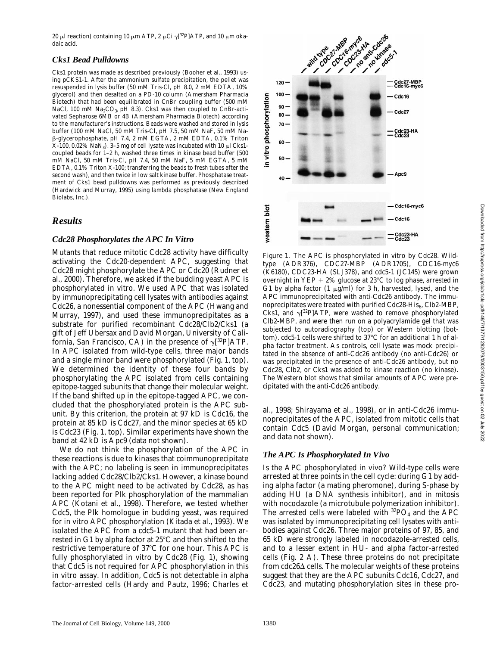20 μl reaction) containing 10 μm ATP, 2 μCi  $\gamma$ [32P]ATP, and 10 μm okadaic acid.

#### *Cks1 Bead Pulldowns*

Cks1 protein was made as described previously (Booher et al., 1993) using pCKS1-1. After the ammonium sulfate precipitation, the pellet was resuspended in lysis buffer (50 mM Tris-Cl, pH 8.0, 2 mM EDTA, 10% glycerol) and then desalted on a PD-10 column (Amersham Pharmacia Biotech) that had been equilibrated in CnBr coupling buffer (500 mM NaCl, 100 mM Na<sub>2</sub>CO<sub>3</sub>, pH 8.3). Cks1 was then coupled to CnBr-activated Sepharose 6MB or 4B (Amersham Pharmacia Biotech) according to the manufacturer's instructions. Beads were washed and stored in lysis buffer (100 mM NaCl, 50 mM Tris-Cl, pH 7.5, 50 mM NaF, 50 mM Nab-glycerophosphate, pH 7.4, 2 mM EGTA, 2 mM EDTA, 0.1% Triton X-100, 0.02% NaN<sub>3</sub>). 3-5 mg of cell lysate was incubated with 10  $\mu$ l Cks1coupled beads for 1–2 h, washed three times in kinase bead buffer (500 mM NaCl, 50 mM Tris-Cl, pH 7.4, 50 mM NaF, 5 mM EGTA, 5 mM EDTA, 0.1% Triton X-100; transferring the beads to fresh tubes after the second wash), and then twice in low salt kinase buffer. Phosphatase treatment of Cks1 bead pulldowns was performed as previously described (Hardwick and Murray, 1995) using lambda phosphatase (New England Biolabs, Inc.).

## *Results*

#### *Cdc28 Phosphorylates the APC In Vitro*

Mutants that reduce mitotic Cdc28 activity have difficulty activating the Cdc20-dependent APC, suggesting that Cdc28 might phosphorylate the APC or Cdc20 (Rudner et al., 2000). Therefore, we asked if the budding yeast APC is phosphorylated in vitro. We used APC that was isolated by immunoprecipitating cell lysates with antibodies against Cdc26, a nonessential component of the APC (Hwang and Murray, 1997), and used these immunoprecipitates as a substrate for purified recombinant Cdc28/Clb2/Cks1 (a gift of Jeff Ubersax and David Morgan, University of California, San Francisco, CA) in the presence of  $\gamma[^{32}P]$ ATP. In APC isolated from wild-type cells, three major bands and a single minor band were phosphorylated (Fig. 1, top). We determined the identity of these four bands by phosphorylating the APC isolated from cells containing epitope-tagged subunits that change their molecular weight. If the band shifted up in the epitope-tagged APC, we concluded that the phosphorylated protein is the APC subunit. By this criterion, the protein at 97 kD is Cdc16, the protein at 85 kD is Cdc27, and the minor species at 65 kD is Cdc23 (Fig. 1, top). Similar experiments have shown the band at 42 kD is Apc9 (data not shown).

We do not think the phosphorylation of the APC in these reactions is due to kinases that coimmunoprecipitate with the APC; no labeling is seen in immunoprecipitates lacking added Cdc28/Clb2/Cks1. However, a kinase bound to the APC might need to be activated by Cdc28, as has been reported for Plk phosphorylation of the mammalian APC (Kotani et al., 1998). Therefore, we tested whether Cdc5, the Plk homologue in budding yeast, was required for in vitro APC phosphorylation (Kitada et al., 1993). We isolated the APC from a *cdc5-1* mutant that had been arrested in G1 by alpha factor at  $25^{\circ}$ C and then shifted to the restrictive temperature of  $37^{\circ}$ C for one hour. This APC is fully phosphorylated in vitro by Cdc28 (Fig. 1), showing that Cdc5 is not required for APC phosphorylation in this in vitro assay. In addition, Cdc5 is not detectable in alpha factor-arrested cells (Hardy and Pautz, 1996; Charles et



*Figure 1.* The APC is phosphorylated in vitro by Cdc28. Wildtype (ADR376), *CDC27-MBP* (ADR1705), *CDC16-myc6* (K6180), *CDC23-HA* (SLJ378), and *cdc5-1* (JC145) were grown overnight in YEP + 2% glucose at 23°C to log phase, arrested in G1 by alpha factor  $(1 \mu g/ml)$  for 3 h, harvested, lysed, and the APC immunoprecipitated with anti-Cdc26 antibody. The immunoprecipitates were treated with purified  $Cdc28-His_{6}$ , Clb2-MBP, Cks1, and  $\gamma$ [<sup>32</sup>P]ATP, were washed to remove phosphorylated Clb2-MBP, and were then run on a polyacrylamide gel that was subjected to autoradiography (top) or Western blotting (bottom). *cdc5-1* cells were shifted to 37°C for an additional 1 h of alpha factor treatment. As controls, cell lysate was mock precipitated in the absence of anti-Cdc26 antibody (no anti-Cdc26) or was precipitated in the presence of anti-Cdc26 antibody, but no Cdc28, Clb2, or Cks1 was added to kinase reaction (no kinase). The Western blot shows that similar amounts of APC were precipitated with the anti-Cdc26 antibody.

al., 1998; Shirayama et al., 1998), or in anti-Cdc26 immunoprecipitates of the APC, isolated from mitotic cells that contain Cdc5 (David Morgan, personal communication; and data not shown).

### *The APC Is Phosphorylated In Vivo*

Is the APC phosphorylated in vivo? Wild-type cells were arrested at three points in the cell cycle: during G1 by adding alpha factor (a mating pheromone), during S-phase by adding HU (a DNA synthesis inhibitor), and in mitosis with nocodazole (a microtubule polymerization inhibitor). The arrested cells were labeled with  ${}^{32}PO_4$  and the APC was isolated by immunoprecipitating cell lysates with antibodies against Cdc26. Three major proteins of 97, 85, and 65 kD were strongly labeled in nocodazole-arrested cells, and to a lesser extent in HU- and alpha factor-arrested cells (Fig. 2 A). These three proteins do not precipitate from  $cdc26\Delta$  cells. The molecular weights of these proteins suggest that they are the APC subunits Cdc16, Cdc27, and Cdc23, and mutating phosphorylation sites in these pro-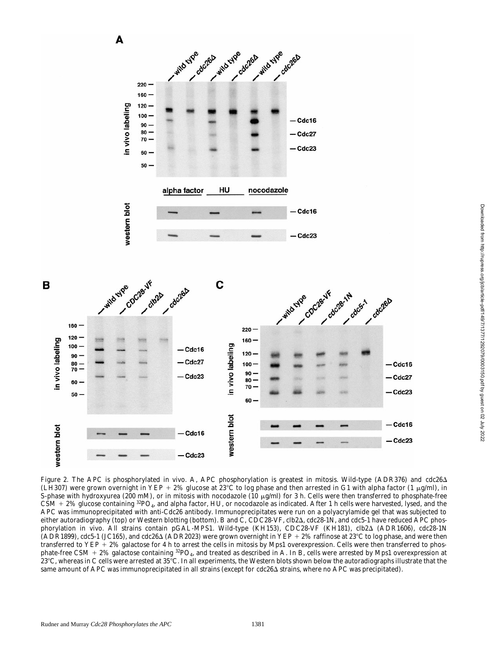

*Figure 2.* The APC is phosphorylated in vivo. A, APC phosphorylation is greatest in mitosis. Wild-type (ADR376) and *cdc26*D (LH307) were grown overnight in YEP + 2% glucose at  $23^{\circ}$ C to log phase and then arrested in G1 with alpha factor (1 µg/ml), in S-phase with hydroxyurea (200 mM), or in mitosis with nocodazole (10  $\mu$ g/ml) for 3 h. Cells were then transferred to phosphate-free  $CSM + 2\%$  glucose containing <sup>32</sup>PO<sub>4</sub>, and alpha factor, HU, or nocodazole as indicated. After 1 h cells were harvested, lysed, and the APC was immunoprecipitated with anti-Cdc26 antibody. Immunoprecipitates were run on a polyacrylamide gel that was subjected to either autoradiography (top) or Western blotting (bottom). B and C, *CDC28-VF*, *clb2*Δ, *cdc28-1N*, and *cdc5-1* have reduced APC phosphorylation in vivo. All strains contain *pGAL-MPS1*. Wild-type (KH153), *CDC28-VF* (KH181), *clb2*D (ADR1606), *cdc28-1N*  $(ADR1899)$ , *cdc5-1* (JC165), and *cdc26* $\Delta$  (ADR2023) were grown overnight in YEP + 2% raffinose at 23°C to log phase, and were then transferred to YEP  $+2\%$  galactose for 4 h to arrest the cells in mitosis by Mps1 overexpression. Cells were then transferred to phosphate-free CSM  $+ 2\%$  galactose containing  ${}^{32}PO_4$ , and treated as described in A. In B, cells were arrested by Mps1 overexpression at 23°C, whereas in C cells were arrested at 35°C. In all experiments, the Western blots shown below the autoradiographs illustrate that the same amount of APC was immunoprecipitated in all strains (except for *cdc26* $\Delta$  strains, where no APC was precipitated).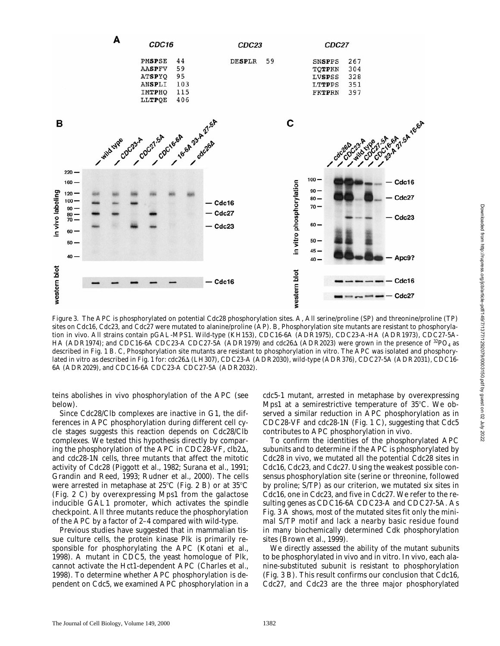

*Figure 3.* The APC is phosphorylated on potential Cdc28 phosphorylation sites. A, All serine/proline (SP) and threonine/proline (TP) sites on Cdc16, Cdc23, and Cdc27 were mutated to alanine/proline (AP). B, Phosphorylation site mutants are resistant to phosphorylation in vivo. All strains contain *pGAL-MPS1*. Wild-type (KH153), *CDC16-6A* (ADR1975), *CDC23-A-HA* (ADR1973), *CDC27-5A-HA* (ADR1974); and *CDC16-6A CDC23-A CDC27-5A* (ADR1979) and *cdc26* $\Delta$  (ADR2023) were grown in the presence of <sup>32</sup>PO<sub>4</sub> as described in Fig. 1 B. C, Phosphorylation site mutants are resistant to phosphorylation in vitro. The APC was isolated and phosphorylated in vitro as described in Fig. 1 for: *cdc26*D (LH307), *CDC23-A* (ADR2030), wild-type (ADR376), *CDC27-5A* (ADR2031), *CDC16- 6A* (ADR2029), and *CDC16-6A CDC23-A CDC27-5A* (ADR2032).

teins abolishes in vivo phosphorylation of the APC (see below).

Since Cdc28/Clb complexes are inactive in G1, the differences in APC phosphorylation during different cell cycle stages suggests this reaction depends on Cdc28/Clb complexes. We tested this hypothesis directly by comparing the phosphorylation of the APC in *CDC28-VF*, *clb2*D, and *cdc28-1N* cells, three mutants that affect the mitotic activity of Cdc28 (Piggott et al., 1982; Surana et al., 1991; Grandin and Reed, 1993; Rudner et al., 2000). The cells were arrested in metaphase at  $25^{\circ}$ C (Fig. 2 B) or at  $35^{\circ}$ C (Fig. 2 C) by overexpressing Mps1 from the galactose inducible *GAL1* promoter, which activates the spindle checkpoint. All three mutants reduce the phosphorylation of the APC by a factor of 2–4 compared with wild-type.

Previous studies have suggested that in mammalian tissue culture cells, the protein kinase Plk is primarily responsible for phosphorylating the APC (Kotani et al., 1998). A mutant in *CDC5*, the yeast homologue of Plk, cannot activate the Hct1-dependent APC (Charles et al., 1998). To determine whether APC phosphorylation is dependent on Cdc5, we examined APC phosphorylation in a

*cdc5-1* mutant, arrested in metaphase by overexpressing Mps1 at a semirestrictive temperature of  $35^{\circ}$ C. We observed a similar reduction in APC phosphorylation as in *CDC28-VF* and *cdc28-1N* (Fig. 1 C), suggesting that Cdc5 contributes to APC phosphorylation in vivo.

To confirm the identities of the phosphorylated APC subunits and to determine if the APC is phosphorylated by Cdc28 in vivo, we mutated all the potential Cdc28 sites in Cdc16, Cdc23, and Cdc27. Using the weakest possible consensus phosphorylation site (serine or threonine, followed by proline; S/TP) as our criterion, we mutated six sites in Cdc16, one in Cdc23, and five in Cdc27. We refer to the resulting genes as *CDC16-6A CDC23-A* and *CDC27-5A*. As Fig. 3 A shows, most of the mutated sites fit only the minimal S/TP motif and lack a nearby basic residue found in many biochemically determined Cdk phosphorylation sites (Brown et al., 1999).

We directly assessed the ability of the mutant subunits to be phosphorylated in vivo and in vitro. In vivo, each alanine-substituted subunit is resistant to phosphorylation (Fig. 3 B). This result confirms our conclusion that Cdc16, Cdc27, and Cdc23 are the three major phosphorylated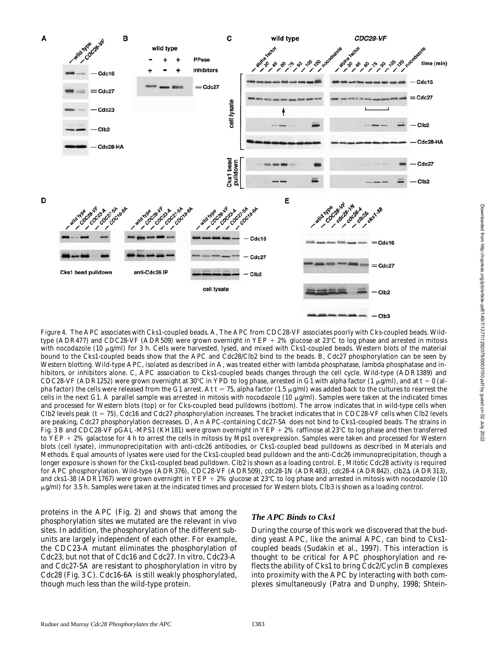

*Figure 4.* The APC associates with Cks1-coupled beads. A, The APC from *CDC28-VF* associates poorly with Cks-coupled beads. Wildtype (ADR477) and *CDC28-VF* (ADR509) were grown overnight in YEP + 2% glucose at 23°C to log phase and arrested in mitosis with nocodazole (10  $\mu$ g/ml) for 3 h. Cells were harvested, lysed, and mixed with Cks1-coupled beads. Western blots of the material bound to the Cks1-coupled beads show that the APC and Cdc28/Clb2 bind to the beads. B, Cdc27 phosphorylation can be seen by Western blotting. Wild-type APC, isolated as described in A, was treated either with lambda phosphatase, lambda phosphatase and inhibitors, or inhibitors alone. C, APC association to Cks1-coupled beads changes through the cell cycle. Wild-type (ADR1389) and *CDC28-VF* (ADR1252) were grown overnight at 30°C in YPD to log phase, arrested in G1 with alpha factor (1  $\mu$ g/ml), and at t = 0 (alpha factor) the cells were released from the G1 arrest. At  $t = 75$ , alpha factor (1.5  $\mu$ g/ml) was added back to the cultures to rearrest the cells in the next G1. A parallel sample was arrested in mitosis with nocodazole  $(10 \mu g/ml)$ . Samples were taken at the indicated times and processed for Western blots (top) or for Cks-coupled bead pulldowns (bottom). The arrow indicates that in wild-type cells when Clb2 levels peak (t = 75), Cdc16 and Cdc27 phosphorylation increases. The bracket indicates that in *CDC28-VF* cells when Clb2 levels are peaking, Cdc27 phosphorylation decreases. D, An APC-containing Cdc27-5A does not bind to Cks1-coupled beads. The strains in Fig. 3 B and *CDC28-VF pGAL-MPS1* (KH181) were grown overnight in YEP + 2% raffinose at 23°C to log phase and then transferred to YEP + 2% galactose for 4 h to arrest the cells in mitosis by Mps1 overexpression. Samples were taken and processed for Western blots (cell lysate), immunoprecipitation with anti-cdc26 antibodies, or Cks1-coupled bead pulldowns as described in Materials and Methods. Equal amounts of lysates were used for the Cks1-coupled bead pulldown and the anti-Cdc26 immunoprecipitation, though a longer exposure is shown for the Cks1-coupled bead pulldown. Clb2 is shown as a loading control. E, Mitotic Cdc28 activity is required for APC phosphorylation. Wild-type (ADR376), *CDC28-VF* (ADR509), *cdc28-1N* (ADR483), *cdc28-4* (ADR842), *clb2*D (ADR313), and *cks1-38* (ADR1767) were grown overnight in YEP + 2% glucose at 23°C to log phase and arrested in mitosis with nocodazole (10  $\mu$ g/ml) for 3.5 h. Samples were taken at the indicated times and processed for Western blots. Clb3 is shown as a loading control.

proteins in the APC (Fig. 2) and shows that among the phosphorylation sites we mutated are the relevant in vivo sites. In addition, the phosphorylation of the different subunits are largely independent of each other. For example, the *CDC23-A* mutant eliminates the phosphorylation of Cdc23, but not that of Cdc16 and Cdc27. In vitro, Cdc23-A and Cdc27-5A are resistant to phosphorylation in vitro by Cdc28 (Fig. 3 C). Cdc16-6A is still weakly phosphorylated, though much less than the wild-type protein.

#### *The APC Binds to Cks1*

During the course of this work we discovered that the budding yeast APC, like the animal APC, can bind to Cks1 coupled beads (Sudakin et al., 1997). This interaction is thought to be critical for APC phosphorylation and reflects the ability of Cks1 to bring Cdc2/Cyclin B complexes into proximity with the APC by interacting with both complexes simultaneously (Patra and Dunphy, 1998; Shtein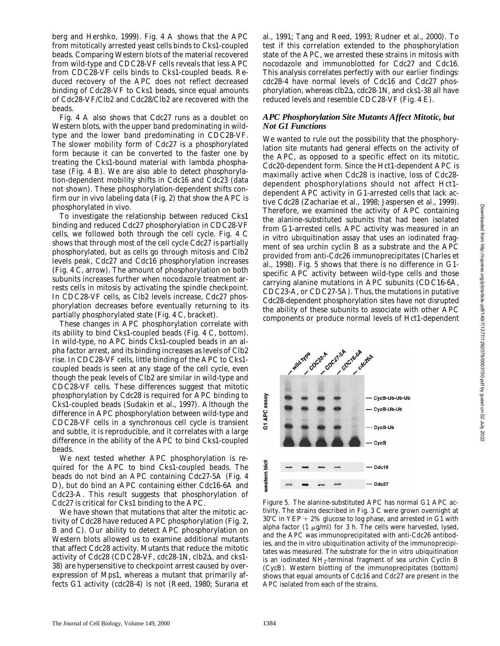berg and Hershko, 1999). Fig. 4 A shows that the APC from mitotically arrested yeast cells binds to Cks1-coupled beads. Comparing Western blots of the material recovered from wild-type and *CDC28-VF* cells reveals that less APC from *CDC28-VF* cells binds to Cks1-coupled beads. Reduced recovery of the APC does not reflect decreased binding of Cdc28-VF to Cks1 beads, since equal amounts of Cdc28-VF/Clb2 and Cdc28/Clb2 are recovered with the beads.

Fig. 4 A also shows that Cdc27 runs as a doublet on Western blots, with the upper band predominating in wildtype and the lower band predominating in *CDC28-VF*. The slower mobility form of Cdc27 is a phosphorylated form because it can be converted to the faster one by treating the Cks1-bound material with lambda phosphatase (Fig. 4 B). We are also able to detect phosphorylation-dependent mobility shifts in Cdc16 and Cdc23 (data not shown). These phosphorylation-dependent shifts confirm our in vivo labeling data (Fig. 2) that show the APC is phosphorylated in vivo.

To investigate the relationship between reduced Cks1 binding and reduced Cdc27 phosphorylation in *CDC28-VF* cells, we followed both through the cell cycle. Fig. 4 C shows that through most of the cell cycle Cdc27 is partially phosphorylated, but as cells go through mitosis and Clb2 levels peak, Cdc27 and Cdc16 phosphorylation increases (Fig. 4 C, arrow). The amount of phosphorylation on both subunits increases further when nocodazole treatment arrests cells in mitosis by activating the spindle checkpoint. In *CDC28-VF* cells, as Clb2 levels increase, Cdc27 phosphorylation decreases before eventually returning to its partially phosphorylated state (Fig. 4 C, bracket).

These changes in APC phosphorylation correlate with its ability to bind Cks1-coupled beads (Fig. 4 C, bottom). In wild-type, no APC binds Cks1-coupled beads in an alpha factor arrest, and its binding increases as levels of Clb2 rise. In *CDC28-VF* cells, little binding of the APC to Cks1 coupled beads is seen at any stage of the cell cycle, even though the peak levels of Clb2 are similar in wild-type and *CDC28-VF* cells. These differences suggest that mitotic phosphorylation by Cdc28 is required for APC binding to Cks1-coupled beads (Sudakin et al., 1997). Although the difference in APC phosphorylation between wild-type and *CDC28-VF* cells in a synchronous cell cycle is transient and subtle, it is reproducible, and it correlates with a large difference in the ability of the APC to bind Cks1-coupled beads.

We next tested whether APC phosphorylation is required for the APC to bind Cks1-coupled beads. The beads do not bind an APC containing Cdc27-5A (Fig. 4 D), but do bind an APC containing either Cdc16-6A and Cdc23-A. This result suggests that phosphorylation of Cdc27 is critical for Cks1 binding to the APC.

We have shown that mutations that alter the mitotic activity of Cdc28 have reduced APC phosphorylation (Fig. 2, B and C). Our ability to detect APC phosphorylation on Western blots allowed us to examine additional mutants that affect Cdc28 activity. Mutants that reduce the mitotic activity of Cdc28 (*CDC28-VF*, *cdc28-1N*, *clb2*D, and *cks1- 38*) are hypersensitive to checkpoint arrest caused by overexpression of Mps1, whereas a mutant that primarily affects G1 activity (*cdc28-4*) is not (Reed, 1980; Surana et

al., 1991; Tang and Reed, 1993; Rudner et al., 2000). To test if this correlation extended to the phosphorylation state of the APC, we arrested these strains in mitosis with nocodazole and immunoblotted for Cdc27 and Cdc16. This analysis correlates perfectly with our earlier findings: *cdc28-4* have normal levels of Cdc16 and Cdc27 phosphorylation, whereas *clb2*D, *cdc28-1N*, and *cks1-38* all have reduced levels and resemble *CDC28-VF* (Fig. 4 E).

## *APC Phosphorylation Site Mutants Affect Mitotic, but Not G1 Functions*

We wanted to rule out the possibility that the phosphorylation site mutants had general effects on the activity of the APC, as opposed to a specific effect on its mitotic, Cdc20-dependent form. Since the Hct1-dependent APC is maximally active when Cdc28 is inactive, loss of Cdc28 dependent phosphorylations should not affect Hct1 dependent APC activity in G1-arrested cells that lack active Cdc28 (Zachariae et al., 1998; Jaspersen et al., 1999). Therefore, we examined the activity of APC containing the alanine-substituted subunits that had been isolated from G1-arrested cells. APC activity was measured in an in vitro ubiquitination assay that uses an iodinated fragment of sea urchin cyclin B as a substrate and the APC provided from anti-Cdc26 immunoprecipitates (Charles et al., 1998). Fig. 5 shows that there is no difference in G1 specific APC activity between wild-type cells and those carrying alanine mutations in APC subunits (*CDC16-6A*, *CDC23-A*, or *CDC27-5A*). Thus, the mutations in putative Cdc28-dependent phosphorylation sites have not disrupted the ability of these subunits to associate with other APC components or produce normal levels of Hct1-dependent

cocal sh SA cross coc<sub>23-A</sub> wild type CycB-Ub-Ub-Ub G1 APC assay CycB-Ub-Ub CycB-Ub CycB vestern blo Cdc16 Cdc27

*Figure 5.* The alanine-substituted APC has normal G1 APC activity. The strains described in Fig. 3 C were grown overnight at  $30^{\circ}$ C in YEP + 2% glucose to log phase, and arrested in G1 with alpha factor (1  $\mu$ g/ml) for 3 h. The cells were harvested, lysed, and the APC was immunoprecipitated with anti-Cdc26 antibodies, and the in vitro ubiquitination activity of the immunoprecipitates was measured. The substrate for the in vitro ubiquitination is an iodinated  $NH_2$ -terminal fragment of sea urchin Cyclin B (CycB). Western blotting of the immunoprecipitates (bottom) shows that equal amounts of Cdc16 and Cdc27 are present in the APC isolated from each of the strains.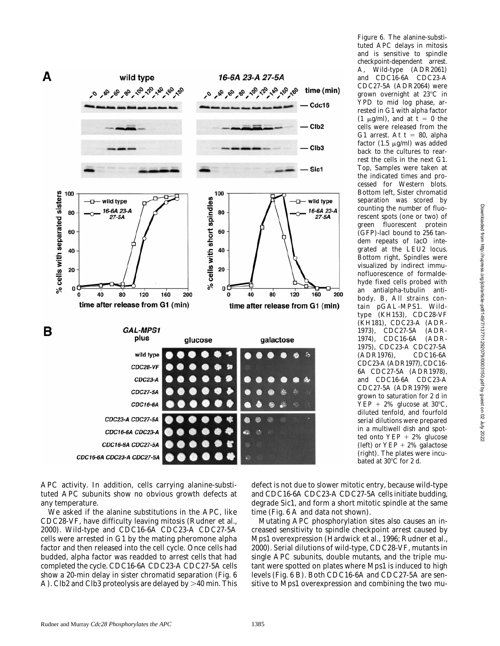

*Figure 6.* The alanine-substituted APC delays in mitosis and is sensitive to spindle checkpoint-dependent arrest. A, Wild-type (ADR2061) and *CDC16-6A CDC23-A CDC27-5A* (ADR2064) were grown overnight at  $23^{\circ}$ C in YPD to mid log phase, arrested in G1 with alpha factor  $(1 \mu g/ml)$ , and at t = 0 the cells were released from the G1 arrest. At  $t = 80$ , alpha factor (1.5  $\mu$ g/ml) was added back to the cultures to rearrest the cells in the next G1. Top, Samples were taken at the indicated times and processed for Western blots. Bottom left, Sister chromatid separation was scored by counting the number of fluorescent spots (one or two) of green fluorescent protein (GFP)-lacI bound to 256 tandem repeats of *lacO* integrated at the *LEU2* locus. Bottom right, Spindles were visualized by indirect immunofluorescence of formaldehyde fixed cells probed with an antialpha-tubulin antibody. B, All strains contain *pGAL-MPS1*. Wildtype (KH153), *CDC28-VF* (KH181), *CDC23-A* (ADR-1973), *CDC27-5A* (ADR-1974), *CDC16-6A* (ADR-1975), *CDC23-A CDC27-5A* (ADR1976), *CDC16-6A CDC23-A* (ADR1977), *CDC16- 6A CDC27-5A* (ADR1978), and *CDC16-6A CDC23-A CDC27-5A* (ADR1979) were grown to saturation for 2 d in  $YEP + 2\%$  glucose at 30°C, diluted tenfold, and fourfold serial dilutions were prepared in a multiwell dish and spotted onto  $YEP + 2\%$  glucose (left) or  $YEP + 2\%$  galactose (right). The plates were incubated at  $30^{\circ}$ C for 2 d.

APC activity. In addition, cells carrying alanine-substituted APC subunits show no obvious growth defects at any temperature.

We asked if the alanine substitutions in the APC, like *CDC28-VF*, have difficulty leaving mitosis (Rudner et al., 2000). Wild-type and *CDC16-6A CDC23-A CDC27-5A* cells were arrested in G1 by the mating pheromone alpha factor and then released into the cell cycle. Once cells had budded, alpha factor was readded to arrest cells that had completed the cycle. *CDC16-6A CDC23-A CDC27-5A* cells show a 20-min delay in sister chromatid separation (Fig. 6 A). Clb2 and Clb3 proteolysis are delayed by  $>40$  min. This defect is not due to slower mitotic entry, because wild-type and *CDC16-6A CDC23-A CDC27-5A* cells initiate budding, degrade Sic1, and form a short mitotic spindle at the same time (Fig. 6 A and data not shown).

Mutating APC phosphorylation sites also causes an increased sensitivity to spindle checkpoint arrest caused by Mps1 overexpression (Hardwick et al., 1996; Rudner et al., 2000). Serial dilutions of wild-type, *CDC28-VF*, mutants in single APC subunits, double mutants, and the triple mutant were spotted on plates where Mps1 is induced to high levels (Fig. 6 B). Both *CDC16-6A* and *CDC27-5A* are sensitive to Mps1 overexpression and combining the two mu-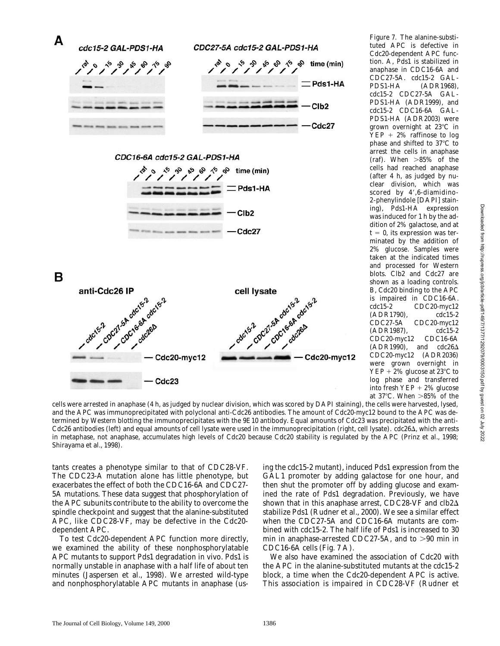

*Figure 7.* The alanine-substituted APC is defective in Cdc20-dependent APC function. A, Pds1 is stabilized in anaphase in *CDC16-6A* and *CDC27-5A*. *cdc15-2 GAL-PDS1-HA* (ADR1968), *cdc15-2 CDC27-5A GAL-PDS1-HA* (ADR1999), and *cdc15-2 CDC16-6A GAL-PDS1-HA* (ADR2003) were grown overnight at 23°C in  $YEP + 2\%$  raffinose to log phase and shifted to  $37^{\circ}$ C to arrest the cells in anaphase (raf). When  $>85\%$  of the cells had reached anaphase (after 4 h, as judged by nuclear division, which was scored by 4',6-diamidino-2-phenylindole [DAPI] staining), Pds1-HA expression was induced for 1 h by the addition of 2% galactose, and at  $t = 0$ , its expression was terminated by the addition of 2% glucose. Samples were taken at the indicated times and processed for Western blots. Clb2 and Cdc27 are shown as a loading controls. B, Cdc20 binding to the APC is impaired in *CDC16-6A*. *cdc15-2 CDC20-myc12* (ADR1790), *cdc15-2 CDC27-5A CDC20-myc12* (ADR1987), *cdc15-2 CDC20-myc12 CDC16-6A*  $(ADR1990)$ , and *cdc26* $\Delta$ CDC20-myc12 (ADR2036) were grown overnight in  $YEP + 2\%$  glucose at 23°C to log phase and transferred into fresh  $YEP + 2\%$  glucose at  $37^{\circ}$ C. When  $>85\%$  of the

cells were arrested in anaphase (4 h, as judged by nuclear division, which was scored by DAPI staining), the cells were harvested, lysed, and the APC was immunoprecipitated with polyclonal anti-Cdc26 antibodies. The amount of Cdc20-myc12 bound to the APC was determined by Western blotting the immunoprecipitates with the 9E10 antibody. Equal amounts of Cdc23 was precipitated with the anti-Cdc26 antibodies (left) and equal amounts of cell lysate were used in the immunoprecipitation (right, cell lysate). *cdc26*Δ, which arrests in metaphase, not anaphase, accumulates high levels of Cdc20 because Cdc20 stability is regulated by the APC (Prinz et al., 1998; Shirayama et al., 1998).

tants creates a phenotype similar to that of *CDC28-VF*. The *CDC23-A* mutation alone has little phenotype, but exacerbates the effect of both the *CDC16-6A* and *CDC27- 5A* mutations. These data suggest that phosphorylation of the APC subunits contribute to the ability to overcome the spindle checkpoint and suggest that the alanine-substituted APC, like *CDC28-VF*, may be defective in the Cdc20 dependent APC.

To test Cdc20-dependent APC function more directly, we examined the ability of these nonphosphorylatable APC mutants to support Pds1 degradation in vivo. Pds1 is normally unstable in anaphase with a half life of about ten minutes (Jaspersen et al., 1998). We arrested wild-type and nonphosphorylatable APC mutants in anaphase (us-

ing the *cdc15-2* mutant), induced Pds1 expression from the *GAL1* promoter by adding galactose for one hour, and then shut the promoter off by adding glucose and examined the rate of Pds1 degradation. Previously, we have shown that in this anaphase arrest, *CDC28-VF* and *clb2*D stabilize Pds1 (Rudner et al., 2000). We see a similar effect when the *CDC27-5A* and *CDC16-6A* mutants are combined with *cdc15-2*. The half life of Pds1 is increased to 30 min in anaphase-arrested  $CDC27-5A$ , and to  $>90$  min in *CDC16-6A* cells (Fig. 7 A).

We also have examined the association of Cdc20 with the APC in the alanine-substituted mutants at the *cdc15-2* block, a time when the Cdc20-dependent APC is active. This association is impaired in *CDC28-VF* (Rudner et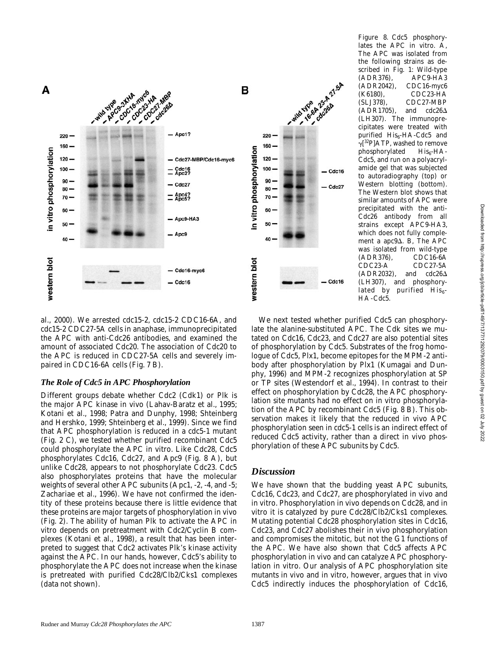

*Figure 8.* Cdc5 phosphorylates the APC in vitro. A, The APC was isolated from the following strains as described in Fig. 1: Wild-type (ADR376), *APC9-HA3* (ADR2042), *CDC16-myc6* (K6180), *CDC23-HA* (SLJ378), *CDC27-MBP*  $(ADR1705)$ , and  $cdc26\Delta$ (LH307). The immunoprecipitates were treated with purified  $His<sub>6</sub>-HA-Cdc5$  and  $\gamma$ [<sup>32</sup>P]ATP, washed to remove phosphorylated  $His_{6}$ -HA-Cdc5, and run on a polyacrylamide gel that was subjected to autoradiography (top) or Western blotting (bottom). The Western blot shows that similar amounts of APC were precipitated with the anti-Cdc26 antibody from all strains except *APC9-HA3*, which does not fully complement a *apc9* $\Delta$ . B, The APC was isolated from wild-type (ADR376), *CDC16-6A CDC23-A CDC27-5A* (ADR2032), and *cdc26*D (LH307), and phosphorylated by purified  $His<sub>6</sub>$ -HA-Cdc5.

al., 2000). We arrested *cdc15-2*, *cdc15-2 CDC16-6A*, and *cdc15-2 CDC27-5A* cells in anaphase, immunoprecipitated the APC with anti-Cdc26 antibodies, and examined the amount of associated Cdc20. The association of Cdc20 to the APC is reduced in *CDC27-5A* cells and severely impaired in *CDC16-6A* cells (Fig. 7 B).

#### *The Role of Cdc5 in APC Phosphorylation*

Different groups debate whether Cdc2 (Cdk1) or Plk is the major APC kinase in vivo (Lahav-Baratz et al., 1995; Kotani et al., 1998; Patra and Dunphy, 1998; Shteinberg and Hershko, 1999; Shteinberg et al., 1999). Since we find that APC phosphorylation is reduced in a *cdc5-1* mutant (Fig. 2 C), we tested whether purified recombinant Cdc5 could phosphorylate the APC in vitro. Like Cdc28, Cdc5 phosphorylates Cdc16, Cdc27, and Apc9 (Fig. 8 A), but unlike Cdc28, appears to not phosphorylate Cdc23. Cdc5 also phosphorylates proteins that have the molecular weights of several other APC subunits (Apc1, -2, -4, and -5; Zachariae et al., 1996). We have not confirmed the identity of these proteins because there is little evidence that these proteins are major targets of phosphorylation in vivo (Fig. 2). The ability of human Plk to activate the APC in vitro depends on pretreatment with Cdc2/Cyclin B complexes (Kotani et al., 1998), a result that has been interpreted to suggest that Cdc2 activates Plk's kinase activity against the APC. In our hands, however, Cdc5's ability to phosphorylate the APC does not increase when the kinase is pretreated with purified Cdc28/Clb2/Cks1 complexes (data not shown).

We next tested whether purified Cdc5 can phosphorylate the alanine-substituted APC. The Cdk sites we mutated on Cdc16, Cdc23, and Cdc27 are also potential sites of phosphorylation by Cdc5. Substrates of the frog homologue of Cdc5, Plx1, become epitopes for the MPM-2 antibody after phosphorylation by Plx1 (Kumagai and Dunphy, 1996) and MPM-2 recognizes phosphorylation at SP or TP sites (Westendorf et al., 1994). In contrast to their effect on phosphorylation by Cdc28, the APC phosphorylation site mutants had no effect on in vitro phosphorylation of the APC by recombinant Cdc5 (Fig. 8 B). This observation makes it likely that the reduced in vivo APC phosphorylation seen in *cdc5-1* cells is an indirect effect of reduced Cdc5 activity, rather than a direct in vivo phosphorylation of these APC subunits by Cdc5.

## *Discussion*

We have shown that the budding yeast APC subunits, Cdc16, Cdc23, and Cdc27, are phosphorylated in vivo and in vitro. Phosphorylation in vivo depends on Cdc28, and in vitro it is catalyzed by pure Cdc28/Clb2/Cks1 complexes. Mutating potential Cdc28 phosphorylation sites in Cdc16, Cdc23, and Cdc27 abolishes their in vivo phosphorylation and compromises the mitotic, but not the G1 functions of the APC. We have also shown that Cdc5 affects APC phosphorylation in vivo and can catalyze APC phosphorylation in vitro. Our analysis of APC phosphorylation site mutants in vivo and in vitro, however, argues that in vivo Cdc5 indirectly induces the phosphorylation of Cdc16,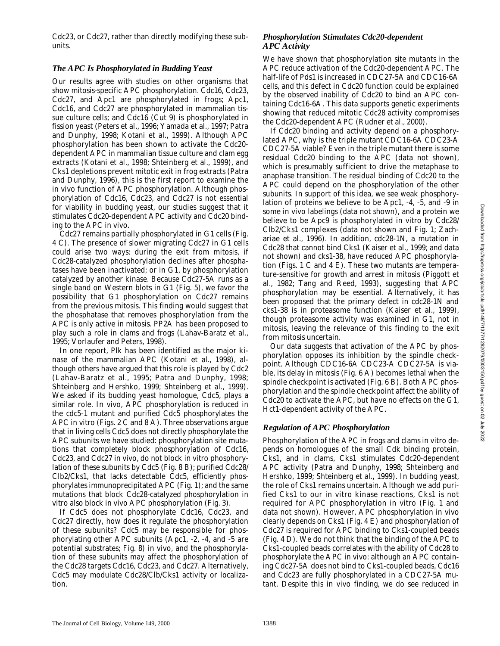Cdc23, or Cdc27, rather than directly modifying these subunits.

#### *The APC Is Phosphorylated in Budding Yeast*

Our results agree with studies on other organisms that show mitosis-specific APC phosphorylation. Cdc16, Cdc23, Cdc27, and Apc1 are phosphorylated in frogs; Apc1, Cdc16, and Cdc27 are phosphorylated in mammalian tissue culture cells; and Cdc16 (Cut 9) is phosphorylated in fission yeast (Peters et al., 1996; Yamada et al., 1997; Patra and Dunphy, 1998; Kotani et al., 1999). Although APC phosphorylation has been shown to activate the Cdc20 dependent APC in mammalian tissue culture and clam egg extracts (Kotani et al., 1998; Shteinberg et al., 1999), and Cks1 depletions prevent mitotic exit in frog extracts (Patra and Dunphy, 1996), this is the first report to examine the in vivo function of APC phosphorylation. Although phosphorylation of Cdc16, Cdc23, and Cdc27 is not essential for viability in budding yeast, our studies suggest that it stimulates Cdc20-dependent APC activity and Cdc20 binding to the APC in vivo.

Cdc27 remains partially phosphorylated in G1 cells (Fig. 4 C). The presence of slower migrating Cdc27 in G1 cells could arise two ways: during the exit from mitosis, if Cdc28-catalyzed phosphorylation declines after phosphatases have been inactivated; or in G1, by phosphorylation catalyzed by another kinase. Because Cdc27-5A runs as a single band on Western blots in G1 (Fig. 5), we favor the possibility that G1 phosphorylation on Cdc27 remains from the previous mitosis. This finding would suggest that the phosphatase that removes phosphorylation from the APC is only active in mitosis. PP2A has been proposed to play such a role in clams and frogs (Lahav-Baratz et al., 1995; Vorlaufer and Peters, 1998).

In one report, Plk has been identified as the major kinase of the mammalian APC (Kotani et al., 1998), although others have argued that this role is played by Cdc2 (Lahav-Baratz et al., 1995; Patra and Dunphy, 1998; Shteinberg and Hershko, 1999; Shteinberg et al., 1999). We asked if its budding yeast homologue, Cdc5, plays a similar role. In vivo, APC phosphorylation is reduced in the *cdc5-1* mutant and purified Cdc5 phosphorylates the APC in vitro (Figs. 2 C and 8 A). Three observations argue that in living cells Cdc5 does not directly phosphorylate the APC subunits we have studied: phosphorylation site mutations that completely block phosphorylation of Cdc16, Cdc23, and Cdc27 in vivo, do not block in vitro phosphorylation of these subunits by Cdc5 (Fig. 8 B); purified Cdc28/ Clb2/Cks1, that lacks detectable Cdc5, efficiently phosphorylates immunoprecipitated APC (Fig. 1); and the same mutations that block Cdc28-catalyzed phosphorylation in vitro also block in vivo APC phosphorylation (Fig. 3).

If Cdc5 does not phosphorylate Cdc16, Cdc23, and Cdc27 directly, how does it regulate the phosphorylation of these subunits? Cdc5 may be responsible for phosphorylating other APC subunits (Apc1, -2, -4, and -5 are potential substrates; Fig. 8) in vivo, and the phosphorylation of these subunits may affect the phosphorylation of the Cdc28 targets Cdc16, Cdc23, and Cdc27. Alternatively, Cdc5 may modulate Cdc28/Clb/Cks1 activity or localization.

#### *Phosphorylation Stimulates Cdc20-dependent APC Activity*

We have shown that phosphorylation site mutants in the APC reduce activation of the Cdc20-dependent APC. The half-life of Pds1 is increased in *CDC27-5A* and *CDC16-6A* cells, and this defect in Cdc20 function could be explained by the observed inability of Cdc20 to bind an APC containing Cdc16-6A. This data supports genetic experiments showing that reduced mitotic Cdc28 activity compromises the Cdc20-dependent APC (Rudner et al., 2000).

If Cdc20 binding and activity depend on a phosphorylated APC, why is the triple mutant *CDC16-6A CDC23-A CDC27-5A* viable? Even in the triple mutant there is some residual Cdc20 binding to the APC (data not shown), which is presumably sufficient to drive the metaphase to anaphase transition. The residual binding of Cdc20 to the APC could depend on the phosphorylation of the other subunits. In support of this idea, we see weak phosphorylation of proteins we believe to be Apc1, -4, -5, and -9 in some in vivo labelings (data not shown), and a protein we believe to be Apc9 is phosphorylated in vitro by Cdc28/ Clb2/Cks1 complexes (data not shown and Fig. 1; Zachariae et al., 1996). In addition, *cdc28-1N*, a mutation in Cdc28 that cannot bind Cks1 (Kaiser et al., 1999; and data not shown) and *cks1-38*, have reduced APC phosphorylation (Figs. 1 C and 4 E). These two mutants are temperature-sensitive for growth and arrest in mitosis (Piggott et al., 1982; Tang and Reed, 1993), suggesting that APC phosphorylation may be essential. Alternatively, it has been proposed that the primary defect in *cdc28-1N* and *cks1-38* is in proteasome function (Kaiser et al., 1999), though proteasome activity was examined in G1, not in mitosis, leaving the relevance of this finding to the exit from mitosis uncertain.

Our data suggests that activation of the APC by phosphorylation opposes its inhibition by the spindle checkpoint. Although *CDC16-6A CDC23-A CDC27-5A* is viable, its delay in mitosis (Fig. 6 A) becomes lethal when the spindle checkpoint is activated (Fig. 6 B). Both APC phosphorylation and the spindle checkpoint affect the ability of Cdc20 to activate the APC, but have no effects on the G1, Hct1-dependent activity of the APC.

### *Regulation of APC Phosphorylation*

Phosphorylation of the APC in frogs and clams in vitro depends on homologues of the small Cdk binding protein, Cks1, and in clams, Cks1 stimulates Cdc20-dependent APC activity (Patra and Dunphy, 1998; Shteinberg and Hershko, 1999; Shteinberg et al., 1999). In budding yeast, the role of Cks1 remains uncertain. Although we add purified Cks1 to our in vitro kinase reactions, Cks1 is not required for APC phosphorylation in vitro (Fig. 1 and data not shown). However, APC phosphorylation in vivo clearly depends on Cks1 (Fig. 4 E) and phosphorylation of Cdc27 is required for APC binding to Cks1-coupled beads (Fig. 4 D). We do not think that the binding of the APC to Cks1-coupled beads correlates with the ability of Cdc28 to phosphorylate the APC in vivo: although an APC containing Cdc27-5A does not bind to Cks1-coupled beads, Cdc16 and Cdc23 are fully phosphorylated in a *CDC27-5A* mutant. Despite this in vivo finding, we do see reduced in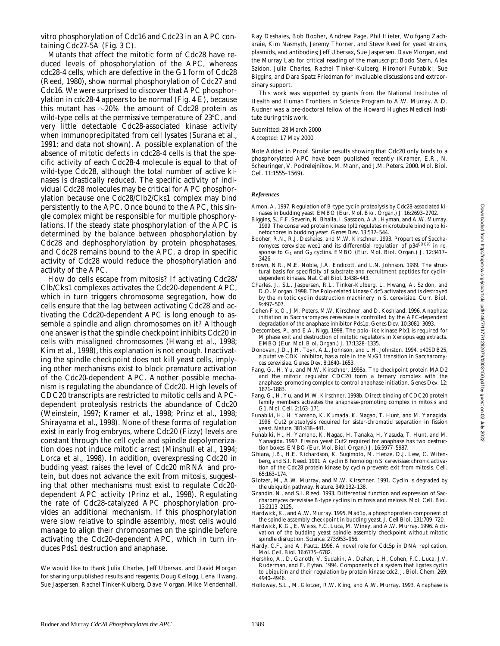Mutants that affect the mitotic form of Cdc28 have reduced levels of phosphorylation of the APC, whereas *cdc28-4* cells, which are defective in the G1 form of Cdc28 (Reed, 1980), show normal phosphorylation of Cdc27 and Cdc16. We were surprised to discover that APC phosphorylation in *cdc28-4* appears to be normal (Fig. 4 E), because this mutant has  $\sim$ 20% the amount of Cdc28 protein as wild-type cells at the permissive temperature of  $23^{\circ}$ C, and very little detectable Cdc28-associated kinase activity when immunoprecipitated from cell lysates (Surana et al., 1991; and data not shown). A possible explanation of the absence of mitotic defects in *cdc28-4* cells is that the specific activity of each Cdc28-4 molecule is equal to that of wild-type Cdc28, although the total number of active kinases is drastically reduced. The specific activity of individual Cdc28 molecules may be critical for APC phosphorylation because one Cdc28/Clb2/Cks1 complex may bind persistently to the APC. Once bound to the APC, this single complex might be responsible for multiple phosphorylations. If the steady state phosphorylation of the APC is determined by the balance between phosphorylation by Cdc28 and dephosphorylation by protein phosphatases, and Cdc28 remains bound to the APC, a drop in specific activity of Cdc28 would reduce the phosphorylation and activity of the APC.

How do cells escape from mitosis? If activating Cdc28/ Clb/Cks1 complexes activates the Cdc20-dependent APC, which in turn triggers chromosome segregation, how do cells ensure that the lag between activating Cdc28 and activating the Cdc20-dependent APC is long enough to assemble a spindle and align chromosomes on it? Although one answer is that the spindle checkpoint inhibits Cdc20 in cells with misaligned chromosomes (Hwang et al., 1998; Kim et al., 1998), this explanation is not enough. Inactivating the spindle checkpoint does not kill yeast cells, implying other mechanisms exist to block premature activation of the Cdc20-dependent APC. Another possible mechanism is regulating the abundance of Cdc20. High levels of *CDC20* transcripts are restricted to mitotic cells and APCdependent proteolysis restricts the abundance of Cdc20 (Weinstein, 1997; Kramer et al., 1998; Prinz et al., 1998; Shirayama et al., 1998). None of these forms of regulation exist in early frog embryos, where Cdc20 (Fizzy) levels are constant through the cell cycle and spindle depolymerization does not induce mitotic arrest (Minshull et al., 1994; Lorca et al., 1998). In addition, overexpressing Cdc20 in budding yeast raises the level of Cdc20 mRNA and protein, but does not advance the exit from mitosis, suggesting that other mechanisms must exist to regulate Cdc20 dependent APC activity (Prinz et al., 1998). Regulating the rate of Cdc28-catalyzed APC phosphorylation provides an additional mechanism. If this phosphorylation were slow relative to spindle assembly, most cells would manage to align their chromosomes on the spindle before activating the Cdc20-dependent APC, which in turn induces Pds1 destruction and anaphase.

We would like to thank Julia Charles, Jeff Ubersax, and David Morgan for sharing unpublished results and reagents; Doug Kellogg, Lena Hwang, Sue Jaspersen, Rachel Tinker-Kulberg, Dave Morgan, Mike Mendenhall, Ray Deshaies, Bob Booher, Andrew Page, Phil Hieter, Wolfgang Zacharaie, Kim Nasmyth, Jeremy Thorner, and Steve Reed for yeast strains, plasmids, and antibodies; Jeff Ubersax, Sue Jaspersen, Dave Morgan, and the Murray Lab for critical reading of the manuscript; Bodo Stern, Alex Szidon, Julia Charles, Rachel Tinker-Kulberg, Hironori Funabiki, Sue Biggins, and Dara Spatz Friedman for invaluable discussions and extraordinary support.

This work was supported by grants from the National Institutes of Health and Human Frontiers in Science Program to A.W. Murray. A.D. Rudner was a pre-doctoral fellow of the Howard Hughes Medical Institute during this work.

Submitted: 28 March 2000 Accepted: 17 May 2000

*Note Added in Proof.* Similar results showing that Cdc20 only binds to a phosphorylated APC have been published recently (Kramer, E.R., N. Scheuringer, V. Podrelejnikov, M. Mann, and J.M. Peters. 2000. *Mol. Biol. Cell.* 11:1555–1569).

#### *References*

- Amon, A. 1997. Regulation of B-type cyclin proteolysis by Cdc28-associated kinases in budding yeast. *EMBO (Eur. Mol. Biol. Organ.) J.* 16:2693–2702.
- Biggins, S., F.F. Severin, N. Bhalla, I. Sassoon, A.A. Hyman, and A.W. Murray. 1999. The conserved protein kinase Ipl1 regulates microtubule binding to kinetochores in budding yeast. *Genes Dev*. 13:532–544.
- Booher, R.N., R.J. Deshaies, and M.W. Kirschner. 1993. Properties of *Saccharomyces cerevisiae* wee1 and its differential regulation of p34*CDC28* in response to G<sub>1</sub> and G<sub>2</sub> cyclins. *EMBO (Eur. Mol. Biol. Organ.) J.* 12:3417-3426.
- Brown, N.R., M.E. Noble, J.A. Endicott, and L.N. Johnson. 1999. The structural basis for specificity of substrate and recruitment peptides for cyclin-dependent kinases. *Nat. Cell Biol*. 1:438–443.
- Charles, J., S.L. Jaspersen, R.L. Tinker-Kulberg, L. Hwang, A. Szidon, and D.O. Morgan. 1998. The Polo-related kinase Cdc5 activates and is destroyed by the mitotic cyclin destruction machinery in *S. cerevisiae*. *Curr. Biol.* 9:497–507.
- Cohen-Fix, O., J.M. Peters, M.W. Kirschner, and D. Koshland. 1996. Anaphase initiation in *Saccharomyces cerevisiae* is controlled by the APC-dependent degradation of the anaphase inhibitor Pds1p. *Genes Dev*. 10:3081–3093.
- Descombes, P., and E.A. Nigg. 1998. The polo-like kinase Plx1 is required for M phase exit and destruction of mitotic regulators in *Xenopus* egg extracts. *EMBO (Eur. Mol. Biol. Organ.) J.* 17:1328–1335.
- Donovan, J.D., J.H. Toyn, A.L. Johnson, and L.H. Johnston. 1994. p40SDB25, a putative CDK inhibitor, has a role in the M/G1 transition in *Saccharomyces cerevisiae*. *Genes Dev*. 8:1640–1653.
- Fang, G., H. Yu, and M.W. Kirschner. 1998a. The checkpoint protein MAD2 and the mitotic regulator CDC20 form a ternary complex with the anaphase–promoting complex to control anaphase initiation. *Genes Dev*. 12: 1871–1883.
- Fang, G., H. Yu, and M.W. Kirschner. 1998b. Direct binding of CDC20 protein family members activates the anaphase-promoting complex in mitosis and G1. *Mol. Cell*. 2:163–171.
- Funabiki, H., H. Yamano, K. Kumada, K. Nagao, T. Hunt, and M. Yanagida. 1996. Cut2 proteolysis required for sister-chromatid separation in fission yeast. *Nature*. 381:438–441.
- Funabiki, H., H. Yamano, K. Nagao, H. Tanaka, H. Yasuda, T. Hunt, and M. Yanagida. 1997. Fission yeast Cut2 required for anaphase has two destruction boxes. *EMBO (Eur. Mol. Biol. Organ.) J.* 16:5977–5987.
- Ghiara, J.B., H.E. Richardson, K. Sugimoto, M. Henze, D.J. Lew, C. Witenberg, and S.I. Reed. 1991. A cyclin B homolog in *S. cerevisiae*: chronic activation of the Cdc28 protein kinase by cyclin prevents exit from mitosis. *Cell*. 65:163–174.
- Glotzer, M., A.W. Murray, and M.W. Kirschner. 1991. Cyclin is degraded by the ubiquitin pathway. *Nature*. 349:132–138.
- Grandin, N., and S.I. Reed. 1993. Differential function and expression of *Saccharomyces cerevisiae* B-type cyclins in mitosis and meiosis. *Mol. Cell. Biol*. 13:2113–2125.
- Hardwick, K., and A.W. Murray. 1995. Mad1p, a phosphoprotein component of the spindle assembly checkpoint in budding yeast. *J. Cell Biol.* 131:709–720.
- Hardwick, K.G., E. Weiss, F.C. Luca, M. Winey, and A.W. Murray. 1996. Activation of the budding yeast spindle assembly checkpoint without mitotic spindle disruption. *Science*. 273:953–956.
- Hardy, C.F., and A. Pautz. 1996. A novel role for Cdc5p in DNA replication. *Mol. Cell. Biol*. 16:6775–6782.
- Hershko, A., D. Ganoth, V. Sudakin, A. Dahan, L.H. Cohen, F.C. Luca, J.V. Ruderman, and E. Eytan. 1994. Components of a system that ligates cyclin to ubiquitin and their regulation by protein kinase cdc2. *J. Biol. Chem.* 269: 4940–4946.
- Holloway, S.L., M. Glotzer, R.W. King, and A.W. Murray. 1993. Anaphase is